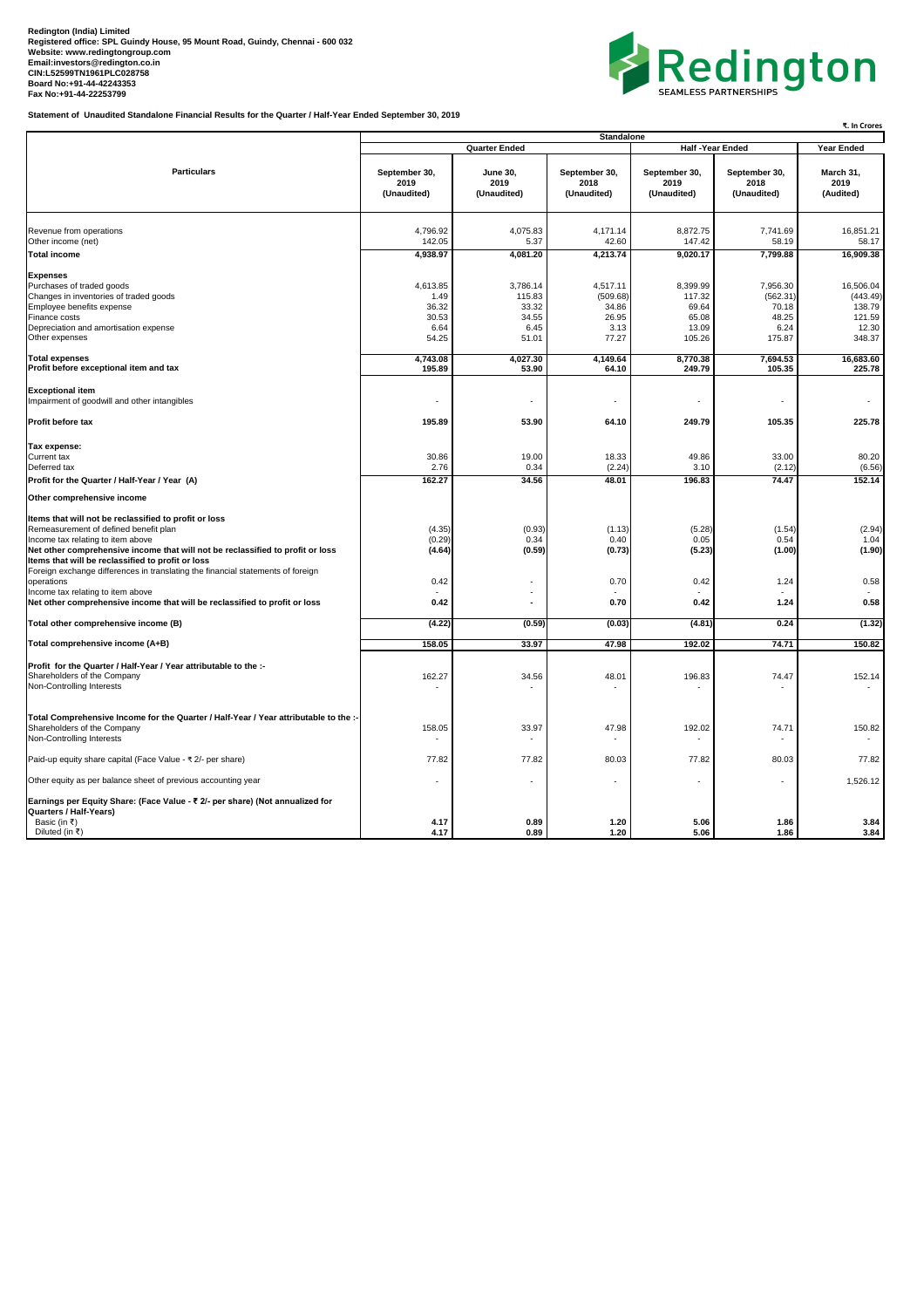## Redington (India) Limited<br>Registered office: SPL Guindy House, 95 Mount Road, Guindy, Chennai - 600 032<br>Website: [www.redingtongroup.com](http://www.redingtongroup.com)<br>[Email:investors@redington.co.in](mailto:Email:investors@redington.co.in)<br>Board No:+91-44-2225353<br>Bax No:+91-44-22253799<br>Fax No:

**Statement of Unaudited Standalone Financial Results for the Quarter / Half-Year Ended September 30, 2019**



|                                                                                                                                                                                                                                                                                                                                                                                                                  | ₹. In Crores                                        |                                                       |                                                         |                                                         |                                                          |                                                              |  |  |
|------------------------------------------------------------------------------------------------------------------------------------------------------------------------------------------------------------------------------------------------------------------------------------------------------------------------------------------------------------------------------------------------------------------|-----------------------------------------------------|-------------------------------------------------------|---------------------------------------------------------|---------------------------------------------------------|----------------------------------------------------------|--------------------------------------------------------------|--|--|
|                                                                                                                                                                                                                                                                                                                                                                                                                  |                                                     | <b>Quarter Ended</b>                                  | <b>Standalone</b>                                       | <b>Half-Year Ended</b>                                  | Year Ended                                               |                                                              |  |  |
| <b>Particulars</b>                                                                                                                                                                                                                                                                                                                                                                                               | September 30,<br>2019<br>(Unaudited)                | <b>June 30,</b><br>2019<br>(Unaudited)                | September 30,<br>2018<br>(Unaudited)                    | September 30,<br>2019<br>(Unaudited)                    | September 30,<br>2018<br>(Unaudited)                     | March 31,<br>2019<br>(Audited)                               |  |  |
| Revenue from operations                                                                                                                                                                                                                                                                                                                                                                                          | 4,796.92                                            | 4,075.83                                              | 4,171.14                                                | 8,872.75                                                | 7,741.69                                                 | 16,851.21                                                    |  |  |
| Other income (net)                                                                                                                                                                                                                                                                                                                                                                                               | 142.05                                              | 5.37                                                  | 42.60                                                   | 147.42                                                  | 58.19                                                    | 58.17                                                        |  |  |
| <b>Total income</b>                                                                                                                                                                                                                                                                                                                                                                                              | 4,938.97                                            | 4,081.20                                              | 4,213.74                                                | 9,020.17                                                | 7,799.88                                                 | 16,909.38                                                    |  |  |
| <b>Expenses</b><br>Purchases of traded goods<br>Changes in inventories of traded goods<br>Employee benefits expense<br>Finance costs<br>Depreciation and amortisation expense<br>Other expenses                                                                                                                                                                                                                  | 4,613.85<br>1.49<br>36.32<br>30.53<br>6.64<br>54.25 | 3,786.14<br>115.83<br>33.32<br>34.55<br>6.45<br>51.01 | 4,517.11<br>(509.68)<br>34.86<br>26.95<br>3.13<br>77.27 | 8,399.99<br>117.32<br>69.64<br>65.08<br>13.09<br>105.26 | 7,956.30<br>(562.31)<br>70.18<br>48.25<br>6.24<br>175.87 | 16,506.04<br>(443.49)<br>138.79<br>121.59<br>12.30<br>348.37 |  |  |
| <b>Total expenses</b><br>Profit before exceptional item and tax                                                                                                                                                                                                                                                                                                                                                  | 4,743.08<br>195.89                                  | 4,027.30<br>53.90                                     | 4,149.64<br>64.10                                       | 8,770.38<br>249.79                                      | 7,694.53<br>105.35                                       | 16,683.60<br>225.78                                          |  |  |
| <b>Exceptional item</b><br>Impairment of goodwill and other intangibles                                                                                                                                                                                                                                                                                                                                          |                                                     |                                                       | ä,                                                      |                                                         |                                                          |                                                              |  |  |
| Profit before tax                                                                                                                                                                                                                                                                                                                                                                                                | 195.89                                              | 53.90                                                 | 64.10                                                   | 249.79                                                  | 105.35                                                   | 225.78                                                       |  |  |
| Tax expense:<br>Current tax<br>Deferred tax                                                                                                                                                                                                                                                                                                                                                                      | 30.86<br>2.76                                       | 19.00<br>0.34                                         | 18.33<br>(2.24)                                         | 49.86<br>3.10                                           | 33.00<br>(2.12)                                          | 80.20<br>(6.56)                                              |  |  |
| Profit for the Quarter / Half-Year / Year (A)                                                                                                                                                                                                                                                                                                                                                                    | 162.27                                              | 34.56                                                 | 48.01                                                   | 196.83                                                  | 74.47                                                    | 152.14                                                       |  |  |
| Other comprehensive income                                                                                                                                                                                                                                                                                                                                                                                       |                                                     |                                                       |                                                         |                                                         |                                                          |                                                              |  |  |
| Items that will not be reclassified to profit or loss<br>Remeasurement of defined benefit plan<br>Income tax relating to item above<br>Net other comprehensive income that will not be reclassified to profit or loss<br>Items that will be reclassified to profit or loss<br>Foreign exchange differences in translating the financial statements of foreign<br>operations<br>Income tax relating to item above | (4.35)<br>(0.29)<br>(4.64)<br>0.42                  | (0.93)<br>0.34<br>(0.59)<br>÷.                        | (1.13)<br>0.40<br>(0.73)<br>0.70                        | (5.28)<br>0.05<br>(5.23)<br>0.42                        | (1.54)<br>0.54<br>(1.00)<br>1.24                         | (2.94)<br>1.04<br>(1.90)<br>0.58                             |  |  |
| Net other comprehensive income that will be reclassified to profit or loss                                                                                                                                                                                                                                                                                                                                       | 0.42                                                | ÷.                                                    | 0.70                                                    | 0.42                                                    | 1.24                                                     | 0.58                                                         |  |  |
| Total other comprehensive income (B)                                                                                                                                                                                                                                                                                                                                                                             | (4.22)                                              | (0.59)                                                | (0.03)                                                  | (4.81)                                                  | 0.24                                                     | (1.32)                                                       |  |  |
| Total comprehensive income (A+B)                                                                                                                                                                                                                                                                                                                                                                                 | 158.05                                              | 33.97                                                 | 47.98                                                   | 192.02                                                  | 74.71                                                    | 150.82                                                       |  |  |
| Profit for the Quarter / Half-Year / Year attributable to the :-<br>Shareholders of the Company<br>Non-Controlling Interests                                                                                                                                                                                                                                                                                     | 162.27                                              | 34.56                                                 | 48.01                                                   | 196.83                                                  | 74.47                                                    | 152.14                                                       |  |  |
| Total Comprehensive Income for the Quarter / Half-Year / Year attributable to the :-<br>Shareholders of the Company<br>Non-Controlling Interests                                                                                                                                                                                                                                                                 | 158.05                                              | 33.97                                                 | 47.98<br>٠                                              | 192.02                                                  | 74.71                                                    | 150.82                                                       |  |  |
| Paid-up equity share capital (Face Value - ₹ 2/- per share)                                                                                                                                                                                                                                                                                                                                                      | 77.82                                               | 77.82                                                 | 80.03                                                   | 77.82                                                   | 80.03                                                    | 77.82                                                        |  |  |
| Other equity as per balance sheet of previous accounting year                                                                                                                                                                                                                                                                                                                                                    |                                                     |                                                       |                                                         |                                                         |                                                          | 1,526.12                                                     |  |  |
| Earnings per Equity Share: (Face Value - ₹ 2/- per share) (Not annualized for<br>Quarters / Half-Years)<br>Basic (in ₹)<br>Diluted (in ₹)                                                                                                                                                                                                                                                                        | 4.17<br>4.17                                        | 0.89<br>0.89                                          | 1.20<br>1.20                                            | 5.06<br>5.06                                            | 1.86<br>1.86                                             | 3.84<br>3.84                                                 |  |  |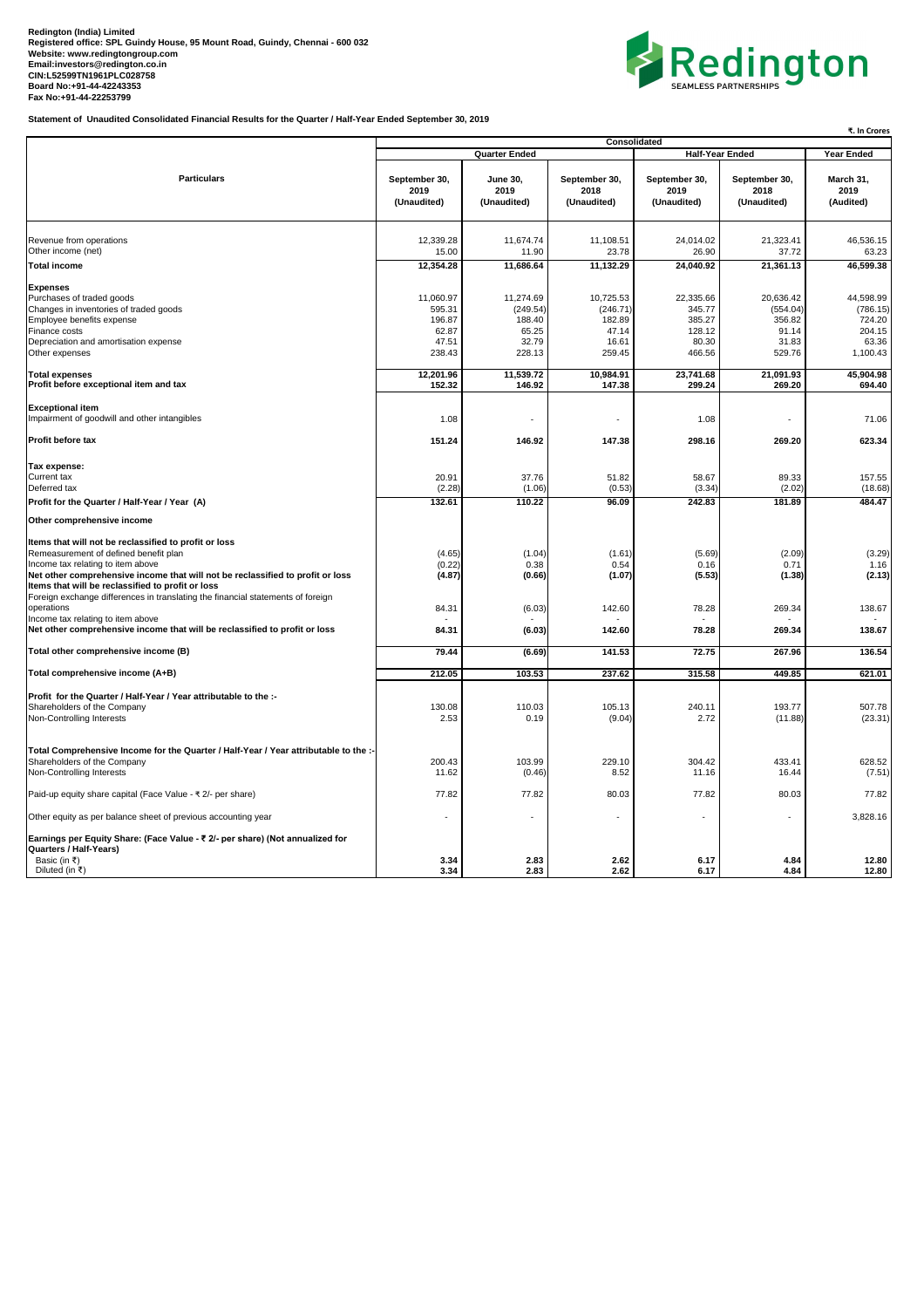## Redington (India) Limited<br>Registered office: SPL Guindy House, 95 Mount Road, Guindy, Chennai - 600 032<br>Website: [www.redingtongroup.com](http://www.redingtongroup.com)<br>[Email:investors@redington.co.in](mailto:Email:investors@redington.co.in)<br>CIN:L52599TN1961PLC028758<br>Bax No:+91-44-22253799<br>Fax N



**Statement of Unaudited Consolidated Financial Results for the Quarter / Half-Year Ended September 30, 2019**

|                                                                                                                     |                                      | ₹. In Crores                           |                                      |                                      |                                      |                                |
|---------------------------------------------------------------------------------------------------------------------|--------------------------------------|----------------------------------------|--------------------------------------|--------------------------------------|--------------------------------------|--------------------------------|
| <b>Particulars</b>                                                                                                  |                                      | <b>Quarter Ended</b>                   | Consolidated                         | <b>Half-Year Ended</b>               | Year Ended                           |                                |
|                                                                                                                     | September 30,<br>2019<br>(Unaudited) | <b>June 30,</b><br>2019<br>(Unaudited) | September 30,<br>2018<br>(Unaudited) | September 30,<br>2019<br>(Unaudited) | September 30,<br>2018<br>(Unaudited) | March 31,<br>2019<br>(Audited) |
| Revenue from operations                                                                                             | 12,339.28                            | 11,674.74                              | 11,108.51                            | 24,014.02                            | 21,323.41                            |                                |
| Other income (net)                                                                                                  | 15.00                                | 11.90                                  | 23.78                                | 26.90                                | 37.72                                | 46,536.15<br>63.23             |
| <b>Total income</b>                                                                                                 | 12,354.28                            | 11,686.64                              | 11,132.29                            | 24,040.92                            | 21,361.13                            | 46,599.38                      |
| <b>Expenses</b>                                                                                                     |                                      |                                        |                                      |                                      |                                      |                                |
| Purchases of traded goods                                                                                           | 11,060.97                            | 11,274.69                              | 10,725.53                            | 22,335.66                            | 20.636.42                            | 44,598.99                      |
| Changes in inventories of traded goods                                                                              | 595.31                               | (249.54)                               | (246.71)                             | 345.77                               | (554.04)                             | (786.15)                       |
| Employee benefits expense                                                                                           | 196.87                               | 188.40                                 | 182.89                               | 385.27                               | 356.82                               | 724.20                         |
| Finance costs                                                                                                       | 62.87                                | 65.25                                  | 47.14                                | 128.12                               | 91.14                                | 204.15                         |
| Depreciation and amortisation expense                                                                               | 47.51                                | 32.79                                  | 16.61                                | 80.30                                | 31.83                                | 63.36                          |
| Other expenses                                                                                                      | 238.43                               | 228.13                                 | 259.45                               | 466.56                               | 529.76                               | 1,100.43                       |
| <b>Total expenses</b><br>Profit before exceptional item and tax                                                     | 12,201.96<br>152.32                  | 11,539.72<br>146.92                    | 10,984.91<br>147.38                  | 23,741.68<br>299.24                  | 21,091.93<br>269.20                  | 45,904.98<br>694.40            |
|                                                                                                                     |                                      |                                        |                                      |                                      |                                      |                                |
| <b>Exceptional item</b><br>Impairment of goodwill and other intangibles                                             | 1.08                                 | ÷.                                     | $\sim$                               | 1.08                                 |                                      | 71.06                          |
| Profit before tax                                                                                                   | 151.24                               | 146.92                                 | 147.38                               | 298.16                               | 269.20                               | 623.34                         |
| Tax expense:                                                                                                        |                                      |                                        |                                      |                                      |                                      |                                |
| Current tax                                                                                                         | 20.91                                | 37.76                                  | 51.82                                | 58.67                                | 89.33                                | 157.55                         |
| Deferred tax                                                                                                        | (2.28)                               | (1.06)                                 | (0.53)                               | (3.34)                               | (2.02)                               | (18.68)                        |
| Profit for the Quarter / Half-Year / Year (A)                                                                       | 132.61                               | 110.22                                 | 96.09                                | 242.83                               | 181.89                               | 484.47                         |
| Other comprehensive income                                                                                          |                                      |                                        |                                      |                                      |                                      |                                |
| Items that will not be reclassified to profit or loss                                                               |                                      |                                        |                                      |                                      |                                      |                                |
| Remeasurement of defined benefit plan                                                                               | (4.65)                               | (1.04)                                 | (1.61)                               | (5.69)                               | (2.09)                               | (3.29)                         |
| Income tax relating to item above                                                                                   | (0.22)                               | 0.38                                   | 0.54                                 | 0.16                                 | 0.71                                 | 1.16                           |
| Net other comprehensive income that will not be reclassified to profit or loss                                      | (4.87)                               | (0.66)                                 | (1.07)                               | (5.53)                               | (1.38)                               | (2.13)                         |
| Items that will be reclassified to profit or loss                                                                   |                                      |                                        |                                      |                                      |                                      |                                |
| Foreign exchange differences in translating the financial statements of foreign                                     |                                      |                                        |                                      |                                      |                                      |                                |
| operations<br>Income tax relating to item above                                                                     | 84.31                                | (6.03)                                 | 142.60                               | 78.28                                | 269.34                               | 138.67                         |
| Net other comprehensive income that will be reclassified to profit or loss                                          | 84.31                                | (6.03)                                 | 142.60                               | 78.28                                | 269.34                               | 138.67                         |
| Total other comprehensive income (B)                                                                                | 79.44                                | (6.69)                                 | 141.53                               | 72.75                                | 267.96                               | 136.54                         |
| Total comprehensive income (A+B)                                                                                    | 212.05                               | 103.53                                 | 237.62                               | 315.58                               | 449.85                               | 621.01                         |
|                                                                                                                     |                                      |                                        |                                      |                                      |                                      |                                |
| Profit for the Quarter / Half-Year / Year attributable to the :-                                                    |                                      |                                        |                                      |                                      |                                      |                                |
| Shareholders of the Company                                                                                         | 130.08                               | 110.03                                 | 105.13                               | 240.11                               | 193.77                               | 507.78                         |
| Non-Controlling Interests                                                                                           | 2.53                                 | 0.19                                   | (9.04)                               | 2.72                                 | (11.88)                              | (23.31)                        |
|                                                                                                                     |                                      |                                        |                                      |                                      |                                      |                                |
| Total Comprehensive Income for the Quarter / Half-Year / Year attributable to the :-<br>Shareholders of the Company | 200.43                               | 103.99                                 | 229.10                               | 304.42                               | 433.41                               | 628.52                         |
| Non-Controlling Interests                                                                                           | 11.62                                | (0.46)                                 | 8.52                                 | 11.16                                | 16.44                                | (7.51)                         |
|                                                                                                                     |                                      |                                        |                                      |                                      |                                      |                                |
| Paid-up equity share capital (Face Value - ₹ 2/- per share)                                                         | 77.82                                | 77.82                                  | 80.03                                | 77.82                                | 80.03                                | 77.82                          |
| Other equity as per balance sheet of previous accounting year                                                       | ÷,                                   |                                        |                                      |                                      |                                      | 3,828.16                       |
| Earnings per Equity Share: (Face Value - ₹ 2/- per share) (Not annualized for                                       |                                      |                                        |                                      |                                      |                                      |                                |
| Quarters / Half-Years)<br>Basic (in ₹)                                                                              | 3.34                                 | 2.83                                   | 2.62                                 | 6.17                                 | 4.84                                 | 12.80                          |
| Diluted (in ₹)                                                                                                      | 3.34                                 | 2.83                                   | 2.62                                 | 6.17                                 | 4.84                                 | 12.80                          |